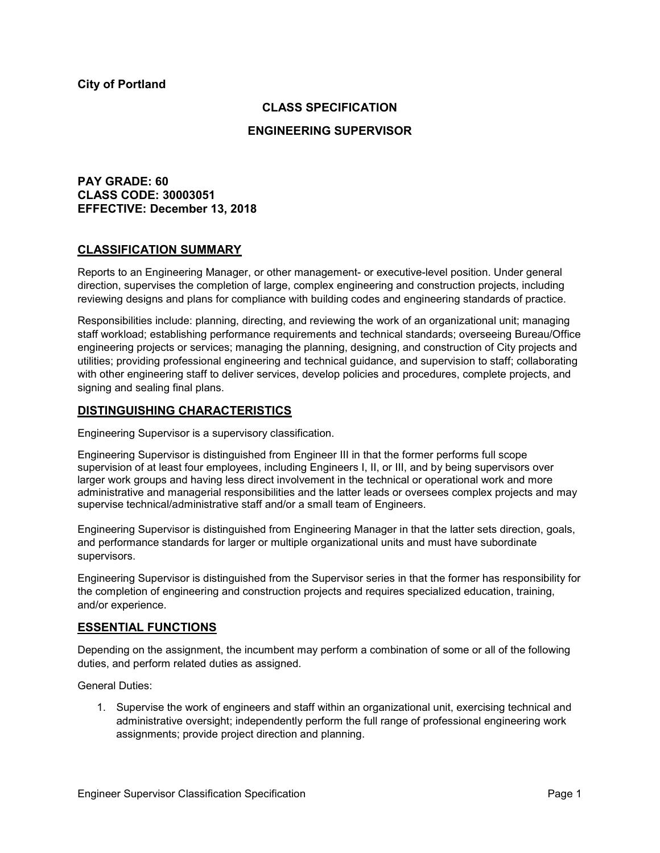### **CLASS SPECIFICATION**

### **ENGINEERING SUPERVISOR**

**PAY GRADE: 60 CLASS CODE: 30003051 EFFECTIVE: December 13, 2018**

### **CLASSIFICATION SUMMARY**

Reports to an Engineering Manager, or other management- or executive-level position. Under general direction, supervises the completion of large, complex engineering and construction projects, including reviewing designs and plans for compliance with building codes and engineering standards of practice.

Responsibilities include: planning, directing, and reviewing the work of an organizational unit; managing staff workload; establishing performance requirements and technical standards; overseeing Bureau/Office engineering projects or services; managing the planning, designing, and construction of City projects and utilities; providing professional engineering and technical guidance, and supervision to staff; collaborating with other engineering staff to deliver services, develop policies and procedures, complete projects, and signing and sealing final plans.

### **DISTINGUISHING CHARACTERISTICS**

Engineering Supervisor is a supervisory classification.

Engineering Supervisor is distinguished from Engineer III in that the former performs full scope supervision of at least four employees, including Engineers I, II, or III, and by being supervisors over larger work groups and having less direct involvement in the technical or operational work and more administrative and managerial responsibilities and the latter leads or oversees complex projects and may supervise technical/administrative staff and/or a small team of Engineers.

Engineering Supervisor is distinguished from Engineering Manager in that the latter sets direction, goals, and performance standards for larger or multiple organizational units and must have subordinate supervisors.

Engineering Supervisor is distinguished from the Supervisor series in that the former has responsibility for the completion of engineering and construction projects and requires specialized education, training, and/or experience.

### **ESSENTIAL FUNCTIONS**

Depending on the assignment, the incumbent may perform a combination of some or all of the following duties, and perform related duties as assigned.

General Duties:

1. Supervise the work of engineers and staff within an organizational unit, exercising technical and administrative oversight; independently perform the full range of professional engineering work assignments; provide project direction and planning.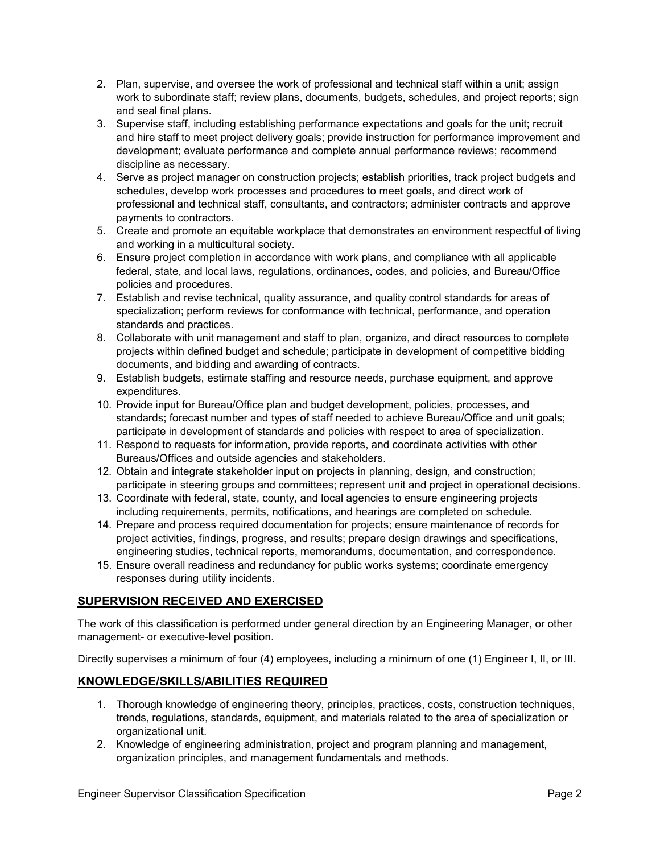- 2. Plan, supervise, and oversee the work of professional and technical staff within a unit; assign work to subordinate staff; review plans, documents, budgets, schedules, and project reports; sign and seal final plans.
- 3. Supervise staff, including establishing performance expectations and goals for the unit; recruit and hire staff to meet project delivery goals; provide instruction for performance improvement and development; evaluate performance and complete annual performance reviews; recommend discipline as necessary.
- 4. Serve as project manager on construction projects; establish priorities, track project budgets and schedules, develop work processes and procedures to meet goals, and direct work of professional and technical staff, consultants, and contractors; administer contracts and approve payments to contractors.
- 5. Create and promote an equitable workplace that demonstrates an environment respectful of living and working in a multicultural society.
- 6. Ensure project completion in accordance with work plans, and compliance with all applicable federal, state, and local laws, regulations, ordinances, codes, and policies, and Bureau/Office policies and procedures.
- 7. Establish and revise technical, quality assurance, and quality control standards for areas of specialization; perform reviews for conformance with technical, performance, and operation standards and practices.
- 8. Collaborate with unit management and staff to plan, organize, and direct resources to complete projects within defined budget and schedule; participate in development of competitive bidding documents, and bidding and awarding of contracts.
- 9. Establish budgets, estimate staffing and resource needs, purchase equipment, and approve expenditures.
- 10. Provide input for Bureau/Office plan and budget development, policies, processes, and standards; forecast number and types of staff needed to achieve Bureau/Office and unit goals; participate in development of standards and policies with respect to area of specialization.
- 11. Respond to requests for information, provide reports, and coordinate activities with other Bureaus/Offices and outside agencies and stakeholders.
- 12. Obtain and integrate stakeholder input on projects in planning, design, and construction; participate in steering groups and committees; represent unit and project in operational decisions.
- 13. Coordinate with federal, state, county, and local agencies to ensure engineering projects including requirements, permits, notifications, and hearings are completed on schedule.
- 14. Prepare and process required documentation for projects; ensure maintenance of records for project activities, findings, progress, and results; prepare design drawings and specifications, engineering studies, technical reports, memorandums, documentation, and correspondence.
- 15. Ensure overall readiness and redundancy for public works systems; coordinate emergency responses during utility incidents.

# **SUPERVISION RECEIVED AND EXERCISED**

The work of this classification is performed under general direction by an Engineering Manager, or other management- or executive-level position.

Directly supervises a minimum of four (4) employees, including a minimum of one (1) Engineer I, II, or III.

# **KNOWLEDGE/SKILLS/ABILITIES REQUIRED**

- 1. Thorough knowledge of engineering theory, principles, practices, costs, construction techniques, trends, regulations, standards, equipment, and materials related to the area of specialization or organizational unit.
- 2. Knowledge of engineering administration, project and program planning and management, organization principles, and management fundamentals and methods.